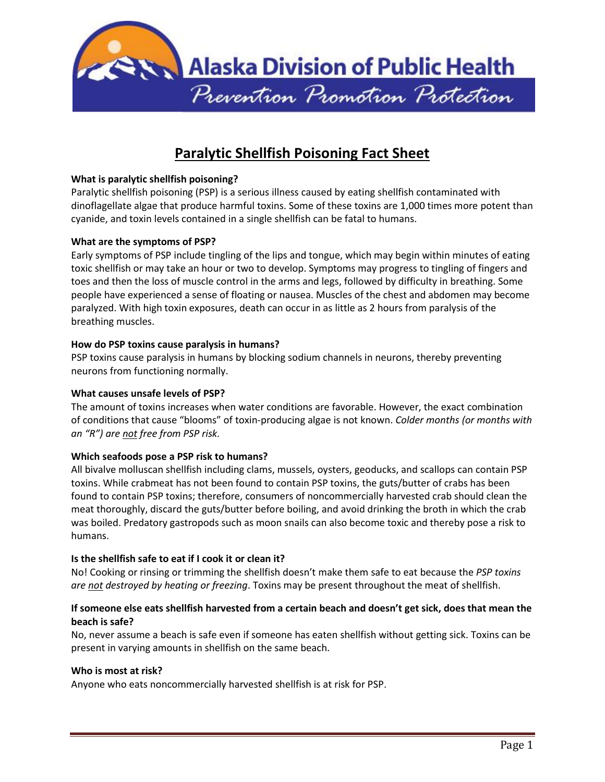

# **Paralytic Shellfish Poisoning Fact Sheet**

# **What is paralytic shellfish poisoning?**

Paralytic shellfish poisoning (PSP) is a serious illness caused by eating shellfish contaminated with dinoflagellate algae that produce harmful toxins. Some of these toxins are 1,000 times more potent than cyanide, and toxin levels contained in a single shellfish can be fatal to humans.

# **What are the symptoms of PSP?**

Early symptoms of PSP include tingling of the lips and tongue, which may begin within minutes of eating toxic shellfish or may take an hour or two to develop. Symptoms may progress to tingling of fingers and toes and then the loss of muscle control in the arms and legs, followed by difficulty in breathing. Some people have experienced a sense of floating or nausea. Muscles of the chest and abdomen may become paralyzed. With high toxin exposures, death can occur in as little as 2 hours from paralysis of the breathing muscles.

#### **How do PSP toxins cause paralysis in humans?**

PSP toxins cause paralysis in humans by blocking sodium channels in neurons, thereby preventing neurons from functioning normally.

#### **What causes unsafe levels of PSP?**

The amount of toxins increases when water conditions are favorable. However, the exact combination of conditions that cause "blooms" of toxin-producing algae is not known. *Colder months (or months with an "R") are not free from PSP risk.*

#### **Which seafoods pose a PSP risk to humans?**

All bivalve molluscan shellfish including clams, mussels, oysters, geoducks, and scallops can contain PSP toxins. While crabmeat has not been found to contain PSP toxins, the guts/butter of crabs has been found to contain PSP toxins; therefore, consumers of noncommercially harvested crab should clean the meat thoroughly, discard the guts/butter before boiling, and avoid drinking the broth in which the crab was boiled. Predatory gastropods such as moon snails can also become toxic and thereby pose a risk to humans.

#### **Is the shellfish safe to eat if I cook it or clean it?**

No! Cooking or rinsing or trimming the shellfish doesn't make them safe to eat because the *PSP toxins are not destroyed by heating or freezing*. Toxins may be present throughout the meat of shellfish.

# **If someone else eats shellfish harvested from a certain beach and doesn't get sick, does that mean the beach is safe?**

No, never assume a beach is safe even if someone has eaten shellfish without getting sick. Toxins can be present in varying amounts in shellfish on the same beach.

#### **Who is most at risk?**

Anyone who eats noncommercially harvested shellfish is at risk for PSP.